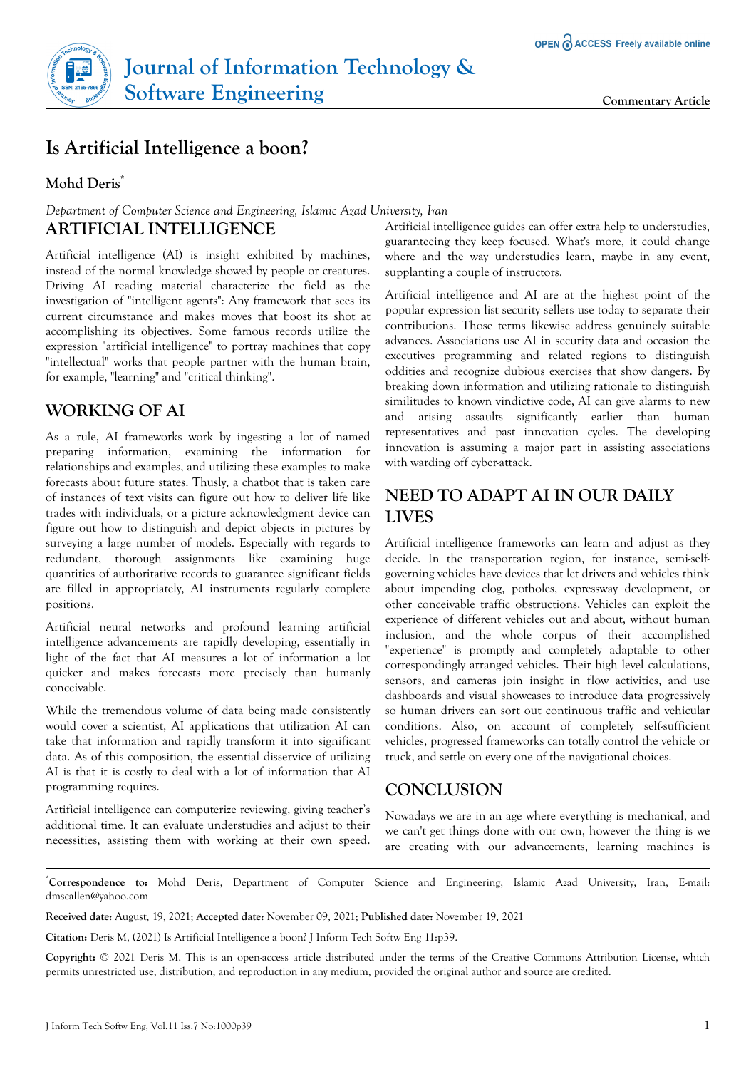

# **Is Artificial Intelligence a boon?**

#### **Mohd Deris\***

### *Department of Computer Science and Engineering, Islamic Azad University, Iran* **ARTIFICIAL INTELLIGENCE**

Artificial intelligence (AI) is insight exhibited by machines, instead of the normal knowledge showed by people or creatures. Driving AI reading material characterize the field as the investigation of "intelligent agents": Any framework that sees its current circumstance and makes moves that boost its shot at accomplishing its objectives. Some famous records utilize the expression "artificial intelligence" to portray machines that copy "intellectual" works that people partner with the human brain, for example, "learning" and "critical thinking".

## **WORKING OF AI**

As a rule, AI frameworks work by ingesting a lot of named preparing information, examining the information for relationships and examples, and utilizing these examples to make forecasts about future states. Thusly, a chatbot that is taken care of instances of text visits can figure out how to deliver life like trades with individuals, or a picture acknowledgment device can figure out how to distinguish and depict objects in pictures by surveying a large number of models. Especially with regards to redundant, thorough assignments like examining huge quantities of authoritative records to guarantee significant fields are filled in appropriately, AI instruments regularly complete positions.

Artificial neural networks and profound learning artificial intelligence advancements are rapidly developing, essentially in light of the fact that AI measures a lot of information a lot quicker and makes forecasts more precisely than humanly conceivable.

While the tremendous volume of data being made consistently would cover a scientist, AI applications that utilization AI can take that information and rapidly transform it into significant data. As of this composition, the essential disservice of utilizing AI is that it is costly to deal with a lot of information that AI programming requires.

Artificial intelligence can computerize reviewing, giving teacher's additional time. It can evaluate understudies and adjust to their necessities, assisting them with working at their own speed.

Artificial intelligence guides can offer extra help to understudies, guaranteeing they keep focused. What's more, it could change where and the way understudies learn, maybe in any event, supplanting a couple of instructors.

Artificial intelligence and AI are at the highest point of the popular expression list security sellers use today to separate their contributions. Those terms likewise address genuinely suitable advances. Associations use AI in security data and occasion the executives programming and related regions to distinguish oddities and recognize dubious exercises that show dangers. By breaking down information and utilizing rationale to distinguish similitudes to known vindictive code, AI can give alarms to new and arising assaults significantly earlier than human representatives and past innovation cycles. The developing innovation is assuming a major part in assisting associations with warding off cyber-attack.

# **NEED TO ADAPT AI IN OUR DAILY LIVES**

Artificial intelligence frameworks can learn and adjust as they decide. In the transportation region, for instance, semi-selfgoverning vehicles have devices that let drivers and vehicles think about impending clog, potholes, expressway development, or other conceivable traffic obstructions. Vehicles can exploit the experience of different vehicles out and about, without human inclusion, and the whole corpus of their accomplished "experience" is promptly and completely adaptable to other correspondingly arranged vehicles. Their high level calculations, sensors, and cameras join insight in flow activities, and use dashboards and visual showcases to introduce data progressively so human drivers can sort out continuous traffic and vehicular conditions. Also, on account of completely self-sufficient vehicles, progressed frameworks can totally control the vehicle or truck, and settle on every one of the navigational choices.

#### **CONCLUSION**

Nowadays we are in an age where everything is mechanical, and we can't get things done with our own, however the thing is we are creating with our advancements, learning machines is

\***Correspondence to:** Mohd Deris, Department of Computer Science and Engineering, Islamic Azad University, Iran, E-mail: dmscallen@yahoo.com

**Received date:** August, 19, 2021; **Accepted date:** November 09, 2021; **Published date:** November 19, 2021

**Citation:** Deris M, (2021) Is Artificial Intelligence a boon? J Inform Tech Softw Eng 11:p39.

**Copyright:** © 2021 Deris M. This is an open-access article distributed under the terms of the Creative Commons Attribution License, which permits unrestricted use, distribution, and reproduction in any medium, provided the original author and source are credited.